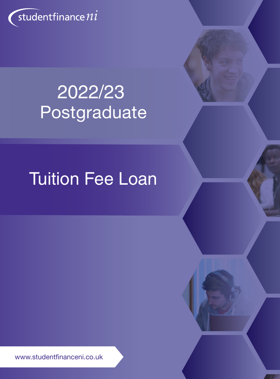

# 2022/23 Postgraduate

# Tuition Fee Loan

www.studentfinanceni.co.uk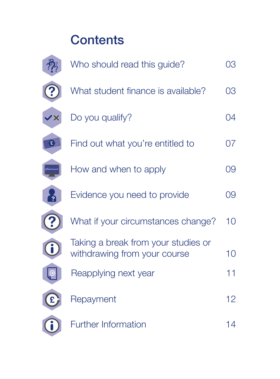# **Contents**

|              | Who should read this guide?                                         | 03 |
|--------------|---------------------------------------------------------------------|----|
|              | What student finance is available?                                  | 03 |
| $\mathbf{X}$ | Do you qualify?                                                     | 04 |
| £            | Find out what you're entitled to                                    | 07 |
|              | How and when to apply                                               | 09 |
|              | Evidence you need to provide                                        | 09 |
|              | What if your circumstances change?                                  | 10 |
|              | Taking a break from your studies or<br>withdrawing from your course | 10 |
|              | Reapplying next year                                                | 11 |
|              | Repayment                                                           | 12 |
|              | <b>Further Information</b>                                          | 14 |
|              |                                                                     |    |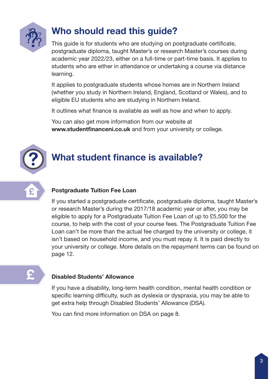

### Who should read this guide?

This guide is for students who are studying on postgraduate certificate, postgraduate diploma, taught Master's or research Master's courses during academic year 2022/23, either on a full-time or part-time basis. It applies to students who are either in attendance or undertaking a course via distance learning.

It applies to postgraduate students whose homes are in Northern Ireland (whether you study in Northern Ireland, England, Scotland or Wales), and to eligible EU students who are studying in Northern Ireland.

It outlines what finance is available as well as how and when to apply.

You can also get more information from our website at www.studentfinanceni.co.uk and from your university or college.



## What student finance is available?



### Postgraduate Tuition Fee Loan

If you started a postgraduate certificate, postgraduate diploma, taught Master's or research Master's during the 2017/18 academic year or after, you may be eligible to apply for a Postgraduate Tuition Fee Loan of up to £5,500 for the course, to help with the cost of your course fees. The Postgraduate Tuition Fee Loan can't be more than the actual fee charged by the university or college, it isn't based on household income, and you must repay it. It is paid directly to your university or college. More details on the repayment terms can be found on page 12.

## £

### Disabled Students' Allowance

If you have a disability, long-term health condition, mental health condition or specific learning difficulty, such as dyslexia or dyspraxia, you may be able to get extra help through Disabled Students' Allowance (DSA).

You can find more information on DSA on page 8.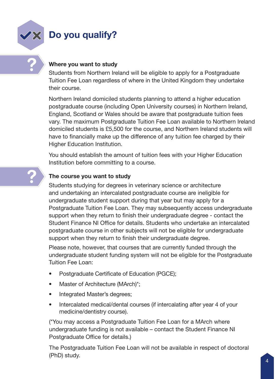

?

### Do you qualify?

### Where you want to study

Students from Northern Ireland will be eligible to apply for a Postgraduate Tuition Fee Loan regardless of where in the United Kingdom they undertake their course.

Northern Ireland domiciled students planning to attend a higher education postgraduate course (including Open University courses) in Northern Ireland, England, Scotland or Wales should be aware that postgraduate tuition fees vary. The maximum Postgraduate Tuition Fee Loan available to Northern Ireland domiciled students is £5,500 for the course, and Northern Ireland students will have to financially make up the difference of any tuition fee charged by their Higher Education Institution.

You should establish the amount of tuition fees with your Higher Education Institution before committing to a course.

### The course you want to study

Students studying for degrees in veterinary science or architecture and undertaking an intercalated postgraduate course are ineligible for undergraduate student support during that year but may apply for a Postgraduate Tuition Fee Loan. They may subsequently access undergraduate support when they return to finish their undergraduate degree - contact the Student Finance NI Office for details. Students who undertake an intercalated postgraduate course in other subjects will not be eligible for undergraduate support when they return to finish their undergraduate degree.

Please note, however, that courses that are currently funded through the undergraduate student funding system will not be eligible for the Postgraduate Tuition Fee Loan:

- Postgraduate Certificate of Education (PGCE);
- Master of Architecture (MArch)\*;
- Integrated Master's degrees;
- Intercalated medical/dental courses (if intercalating after year 4 of your medicine/dentistry course).

(\*You may access a Postgraduate Tuition Fee Loan for a MArch where undergraduate funding is not available – contact the Student Finance NI Postgraduate Office for details.)

The Postgraduate Tuition Fee Loan will not be available in respect of doctoral (PhD) study.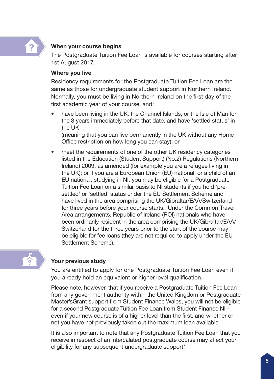

#### When your course begins

The Postgraduate Tuition Fee Loan is available for courses starting after 1st August 2017.

#### Where you live

Residency requirements for the Postgraduate Tuition Fee Loan are the same as those for undergraduate student support in Northern Ireland. Normally, you must be living in Northern Ireland on the first day of the first academic year of your course, and:

have been living in the UK, the Channel Islands, or the Isle of Man for the 3 years immediately before that date, and have 'settled status' in the UK

(meaning that you can live permanently in the UK without any Home Office restriction on how long you can stay); or

meet the requirements of one of the other UK residency categories listed in the Education (Student Support) (No.2) Regulations (Northern Ireland) 2009, as amended (for example you are a refugee living in the UK); or if you are a European Union (EU) national, or a child of an EU national, studying in NI, you may be eligible for a Postgraduate Tuition Fee Loan on a similar basis to NI students if you hold 'presettled' or 'settled' status under the EU Settlement Scheme and have lived in the area comprising the UK/Gibraltar/EAA/Switzerland for three years before your course starts. Under the Common Travel Area arrangements, Republic of Ireland (ROI) nationals who have been ordinarily resident in the area comprising the UK/Gibraltar/EAA/ Switzerland for the three years prior to the start of the course may be eligible for fee loans (they are not required to apply under the EU Settlement Scheme).



#### Your previous study

You are entitled to apply for one Postgraduate Tuition Fee Loan even if you already hold an equivalent or higher level qualification.

Please note, however, that if you receive a Postgraduate Tuition Fee Loan from any government authority within the United Kingdom or Postgraduate Master'sGrant support from Student Finance Wales, you will not be eligible for a second Postgraduate Tuition Fee Loan from Student Finance NI – even if your new course is of a higher level than the first, and whether or not you have not previously taken out the maximum loan available.

It is also important to note that any Postgraduate Tuition Fee Loan that you receive in respect of an intercalated postgraduate course may affect your eligibility for any subsequent undergraduate support\*.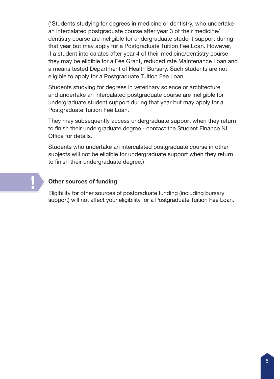(\*Students studying for degrees in medicine or dentistry, who undertake an intercalated postgraduate course after year 3 of their medicine/ dentistry course are ineligible for undergraduate student support during that year but may apply for a Postgraduate Tuition Fee Loan. However, if a student intercalates after year 4 of their medicine/dentistry course they may be eligible for a Fee Grant, reduced rate Maintenance Loan and a means tested Department of Health Bursary. Such students are not eligible to apply for a Postgraduate Tuition Fee Loan.

Students studying for degrees in veterinary science or architecture and undertake an intercalated postgraduate course are ineligible for undergraduate student support during that year but may apply for a Postgraduate Tuition Fee Loan.

They may subsequently access undergraduate support when they return to finish their undergraduate degree - contact the Student Finance NI Office for details.

Students who undertake an intercalated postgraduate course in other subjects will not be eligible for undergraduate support when they return to finish their undergraduate degree.)

#### Other sources of funding

**!** 

Eligibility for other sources of postgraduate funding (including bursary support) will not affect your eligibility for a Postgraduate Tuition Fee Loan.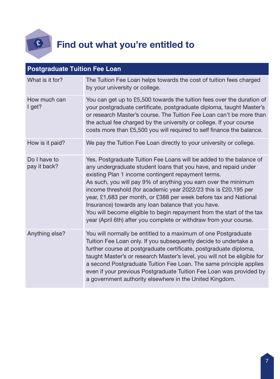

## Find out what you're entitled to

| <b>Postgraduate Tuition Fee Loan</b> |                                                                                                                                                                                                                                                                                                                                                                                                                                                                                                                                                                                                           |  |  |  |  |
|--------------------------------------|-----------------------------------------------------------------------------------------------------------------------------------------------------------------------------------------------------------------------------------------------------------------------------------------------------------------------------------------------------------------------------------------------------------------------------------------------------------------------------------------------------------------------------------------------------------------------------------------------------------|--|--|--|--|
| What is it for?                      | The Tuition Fee Loan helps towards the cost of tuition fees charged<br>by your university or college.                                                                                                                                                                                                                                                                                                                                                                                                                                                                                                     |  |  |  |  |
| How much can<br>I get?               | You can get up to £5,500 towards the tuition fees over the duration of<br>your postgraduate certificate, postgraduate diploma, taught Master's<br>or research Master's course. The Tuition Fee Loan can't be more than<br>the actual fee charged by the university or college. If your course<br>costs more than £5,500 you will required to self finance the balance.                                                                                                                                                                                                                                    |  |  |  |  |
| How is it paid?                      | We pay the Tuition Fee Loan directly to your university or college.                                                                                                                                                                                                                                                                                                                                                                                                                                                                                                                                       |  |  |  |  |
| Do I have to<br>pay it back?         | Yes. Postgraduate Tuition Fee Loans will be added to the balance of<br>any undergraduate student loans that you have, and repaid under<br>existing Plan 1 income contingent repayment terms.<br>As such, you will pay 9% of anything you earn over the minimum<br>income threshold (for academic year 2022/23 this is £20,195 per<br>year, £1,683 per month, or £388 per week before tax and National<br>Insurance) towards any loan balance that you have.<br>You will become eligible to begin repayment from the start of the tax<br>year (April 6th) after you complete or withdraw from your course. |  |  |  |  |
| Anything else?                       | You will normally be entitled to a maximum of one Postgraduate<br>Tuition Fee Loan only. If you subsequently decide to undertake a<br>further course at postgraduate certificate, postgraduate diploma,<br>taught Master's or research Master's level, you will not be eligible for<br>a second Postgraduate Tuition Fee Loan. The same principle applies<br>even if your previous Postgraduate Tuition Fee Loan was provided by<br>a government authority elsewhere in the United Kingdom.                                                                                                               |  |  |  |  |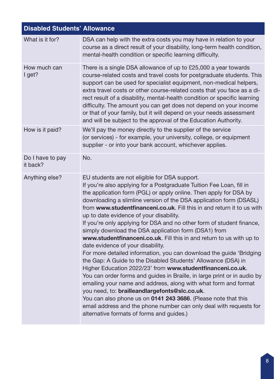| <b>Disabled Students' Allowance</b> |                                                                                                                                                                                                                                                                                                                                                                                                                                                                                                                                                                                                                                                                                                                                                                                                                                                                                                                                                                                                                                                                                                                                                                                                                                |
|-------------------------------------|--------------------------------------------------------------------------------------------------------------------------------------------------------------------------------------------------------------------------------------------------------------------------------------------------------------------------------------------------------------------------------------------------------------------------------------------------------------------------------------------------------------------------------------------------------------------------------------------------------------------------------------------------------------------------------------------------------------------------------------------------------------------------------------------------------------------------------------------------------------------------------------------------------------------------------------------------------------------------------------------------------------------------------------------------------------------------------------------------------------------------------------------------------------------------------------------------------------------------------|
| What is it for?                     | DSA can help with the extra costs you may have in relation to your<br>course as a direct result of your disability, long-term health condition,<br>mental-health condition or specific learning difficulty.                                                                                                                                                                                                                                                                                                                                                                                                                                                                                                                                                                                                                                                                                                                                                                                                                                                                                                                                                                                                                    |
| How much can<br>I get?              | There is a single DSA allowance of up to £25,000 a year towards<br>course-related costs and travel costs for postgraduate students. This<br>support can be used for specialist equipment, non-medical helpers,<br>extra travel costs or other course-related costs that you face as a di-<br>rect result of a disability, mental-health condition or specific learning<br>difficulty. The amount you can get does not depend on your income<br>or that of your family, but it will depend on your needs assessment<br>and will be subject to the approval of the Education Authority.                                                                                                                                                                                                                                                                                                                                                                                                                                                                                                                                                                                                                                          |
| How is it paid?                     | We'll pay the money directly to the supplier of the service<br>(or services) - for example, your university, college, or equipment<br>supplier - or into your bank account, whichever applies.                                                                                                                                                                                                                                                                                                                                                                                                                                                                                                                                                                                                                                                                                                                                                                                                                                                                                                                                                                                                                                 |
| Do I have to pay<br>it back?        | No.                                                                                                                                                                                                                                                                                                                                                                                                                                                                                                                                                                                                                                                                                                                                                                                                                                                                                                                                                                                                                                                                                                                                                                                                                            |
| Anything else?                      | EU students are not eligible for DSA support.<br>If you're also applying for a Postgraduate Tuition Fee Loan, fill in<br>the application form (PGL) or apply online. Then apply for DSA by<br>downloading a slimline version of the DSA application form (DSASL)<br>from www.studentfinanceni.co.uk. Fill this in and return it to us with<br>up to date evidence of your disability.<br>If you're only applying for DSA and no other form of student finance,<br>simply download the DSA application form (DSA1) from<br>www.studentfinanceni.co.uk. Fill this in and return to us with up to<br>date evidence of your disability.<br>For more detailed information, you can download the guide 'Bridging<br>the Gap: A Guide to the Disabled Students' Allowance (DSA) in<br>Higher Education 2022/23' from www.studentfinanceni.co.uk.<br>You can order forms and guides in Braille, in large print or in audio by<br>emailing your name and address, along with what form and format<br>you need, to: brailleandlargefonts@slc.co.uk.<br>You can also phone us on 0141 243 3686. (Please note that this<br>email address and the phone number can only deal with requests for<br>alternative formats of forms and guides.) |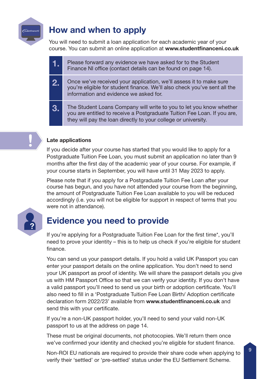

### How and when to apply

You will need to submit a loan application for each academic year of your course. You can submit an online application at www.studentfinanceni.co.uk

| T).            | Please forward any evidence we have asked for to the Student<br>Finance NI office (contact details can be found on page 14).                                                                                      |
|----------------|-------------------------------------------------------------------------------------------------------------------------------------------------------------------------------------------------------------------|
| 2.             | Once we've received your application, we'll assess it to make sure<br>you're eligible for student finance. We'll also check you've sent all the<br>information and evidence we asked for.                         |
| 3 <sub>o</sub> | The Student Loans Company will write to you to let you know whether<br>you are entitled to receive a Postgraduate Tuition Fee Loan. If you are,<br>they will pay the loan directly to your college or university. |

### Late applications

If you decide after your course has started that you would like to apply for a Postgraduate Tuition Fee Loan, you must submit an application no later than 9 months after the first day of the academic year of your course. For example, if your course starts in September, you will have until 31 May 2023 to apply.

Please note that if you apply for a Postgraduate Tuition Fee Loan after your course has begun, and you have not attended your course from the beginning, the amount of Postgraduate Tuition Fee Loan available to you will be reduced accordingly (i.e. you will not be eligible for support in respect of terms that you were not in attendance).



### Evidence you need to provide

If you're applying for a Postgraduate Tuition Fee Loan for the first time\*, you'll need to prove your identity – this is to help us check if you're eligible for student finance.

You can send us your passport details. If you hold a valid UK Passport you can enter your passport details on the online application. You don't need to send your UK passport as proof of identity. We will share the passport details you give us with HM Passport Office so that we can verify your identity. If you don't have a valid passport you'll need to send us your birth or adoption certificate. You'll also need to fill in a 'Postgraduate Tuition Fee Loan Birth/ Adoption certificate declaration form 2022/23' available from www.studentfinanceni.co.uk and send this with your certificate.

If you're a non-UK passport holder, you'll need to send your valid non-UK passport to us at the address on page 14.

These must be original documents, not photocopies. We'll return them once we've confirmed your identity and checked you're eligible for student finance.

Non-ROI EU nationals are required to provide their share code when applying to verify their 'settled' or 'pre-settled' status under the EU Settlement Scheme.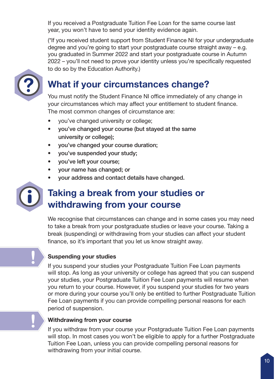If you received a Postgraduate Tuition Fee Loan for the same course last year, you won't have to send your identity evidence again.

(\*If you received student support from Student Finance NI for your undergraduate degree and you're going to start your postgraduate course straight away – e.g. you graduated in Summer 2022 and start your postgraduate course in Autumn 2022 – you'll not need to prove your identity unless you're specifically requested to do so by the Education Authority.)



### What if your circumstances change?

You must notify the Student Finance NI office immediately of any change in your circumstances which may affect your entitlement to student finance. The most common changes of circumstance are:

- you've changed university or college;
- you've changed your course (but stayed at the same university or college);
- you've changed your course duration;
- you've suspended your study;
- you've left your course;
- your name has changed; or
- your address and contact details have changed.



### Taking a break from your studies or withdrawing from your course

We recognise that circumstances can change and in some cases you may need to take a break from your postgraduate studies or leave your course. Taking a break (suspending) or withdrawing from your studies can affect your student finance, so it's important that you let us know straight away.

### Suspending your studies

If you suspend your studies your Postgraduate Tuition Fee Loan payments will stop. As long as your university or college has agreed that you can suspend your studies, your Postgraduate Tuition Fee Loan payments will resume when you return to your course. However, if you suspend your studies for two years or more during your course you'll only be entitled to further Postgraduate Tuition Fee Loan payments if you can provide compelling personal reasons for each period of suspension.

### Withdrawing from your course

If you withdraw from your course your Postgraduate Tuition Fee Loan payments will stop. In most cases you won't be eligible to apply for a further Postgraduate Tuition Fee Loan, unless you can provide compelling personal reasons for withdrawing from your initial course.



**!**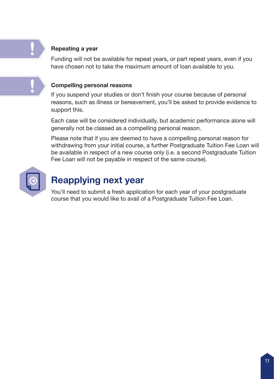### Repeating a year

Funding will not be available for repeat years, or part repeat years, even if you have chosen not to take the maximum amount of loan available to you.

#### Compelling personal reasons

If you suspend your studies or don't finish your course because of personal reasons, such as illness or bereavement, you'll be asked to provide evidence to support this.

Each case will be considered individually, but academic performance alone will generally not be classed as a compelling personal reason.

Please note that if you are deemed to have a compelling personal reason for withdrawing from your initial course, a further Postgraduate Tuition Fee Loan will be available in respect of a new course only (i.e. a second Postgraduate Tuition Fee Loan will not be payable in respect of the same course).



!

!<br>!

### Reapplying next year

You'll need to submit a fresh application for each year of your postgraduate course that you would like to avail of a Postgraduate Tuition Fee Loan.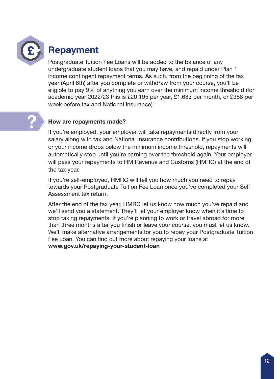

### Repayment

Postgraduate Tuition Fee Loans will be added to the balance of any undergraduate student loans that you may have, and repaid under Plan 1 income contingent repayment terms. As such, from the beginning of the tax year (April 6th) after you complete or withdraw from your course, you'll be eligible to pay 9% of anything you earn over the minimum income threshold (for academic year 2022/23 this is £20,195 per year, £1,683 per month, or £388 per week before tax and National Insurance).

# ?

### How are repayments made?

If you're employed, your employer will take repayments directly from your salary along with tax and National Insurance contributions. If you stop working or your income drops below the minimum income threshold, repayments will automatically stop until you're earning over the threshold again. Your employer will pass your repayments to HM Revenue and Customs (HMRC) at the end of the tax year.

If you're self-employed, HMRC will tell you how much you need to repay towards your Postgraduate Tuition Fee Loan once you've completed your Self Assessment tax return.

After the end of the tax year, HMRC let us know how much you've repaid and we'll send you a statement. They'll let your employer know when it's time to stop taking repayments. If you're planning to work or travel abroad for more than three months after you finish or leave your course, you must let us know. We'll make alternative arrangements for you to repay your Postgraduate Tuition Fee Loan. You can find out more about repaying your loans at www.gov.uk/repaying-your-student-loan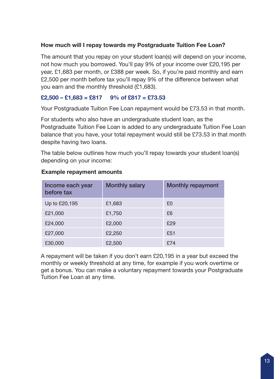### How much will I repay towards my Postgraduate Tuition Fee Loan?

The amount that you repay on your student loan(s) will depend on your income, not how much you borrowed. You'll pay 9% of your income over £20,195 per year, £1,683 per month, or £388 per week. So, if you're paid monthly and earn £2,500 per month before tax you'll repay 9% of the difference between what you earn and the monthly threshold (£1,683).

### $£2,500 - £1,683 = £817$  9% of £817 = £73,53

Your Postgraduate Tuition Fee Loan repayment would be £73.53 in that month.

For students who also have an undergraduate student loan, as the Postgraduate Tuition Fee Loan is added to any undergraduate Tuition Fee Loan balance that you have, your total repayment would still be £73.53 in that month despite having two loans.

The table below outlines how much you'll repay towards your student loan(s) depending on your income:

| Income each year<br>before tax | Monthly salary | Monthly repayment |
|--------------------------------|----------------|-------------------|
| Up to £20,195                  | £1,683         | £0                |
| £21,000                        | £1,750         | £6                |
| £24,000                        | £2,000         | £29               |
| £27,000                        | £2,250         | £51               |
| £30,000                        | £2,500         | £74               |

### Example repayment amounts

A repayment will be taken if you don't earn £20,195 in a year but exceed the monthly or weekly threshold at any time, for example if you work overtime or get a bonus. You can make a voluntary repayment towards your Postgraduate Tuition Fee Loan at any time.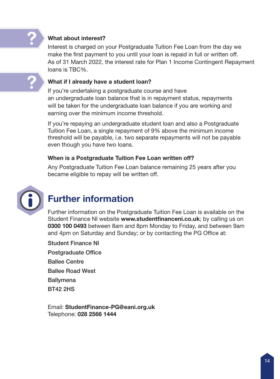?

### What about interest?

Interest is charged on your Postgraduate Tuition Fee Loan from the day we make the first payment to you until your loan is repaid in full or written off. As of 31 March 2022, the interest rate for Plan 1 Income Contingent Repayment loans is TBC%.

#### What if I already have a student loan?

If you're undertaking a postgraduate course and have an undergraduate loan balance that is in repayment status, repayments will be taken for the undergraduate loan balance if you are working and earning over the minimum income threshold.

If you're repaying an undergraduate student loan and also a Postgraduate Tuition Fee Loan, a single repayment of 9% above the minimum income threshold will be payable, i.e. two separate repayments will not be payable even though you have two loans.

#### When is a Postgraduate Tuition Fee Loan written off?

Any Postgraduate Tuition Fee Loan balance remaining 25 years after you became eligible to repay will be written off.



### Further information

Further information on the Postgraduate Tuition Fee Loan is available on the Student Finance NI website www.studentfinanceni.co.uk; by calling us on 0300 100 0493 between 8am and 8pm Monday to Friday, and between 9am and 4pm on Saturday and Sunday; or by contacting the PG Office at:

Student Finance NI Postgraduate Office Ballee Centre Ballee Road West **Ballymena** BT42 2HS

Email: StudentFinance-PG@eani.org.uk Telephone: 028 2566 1444